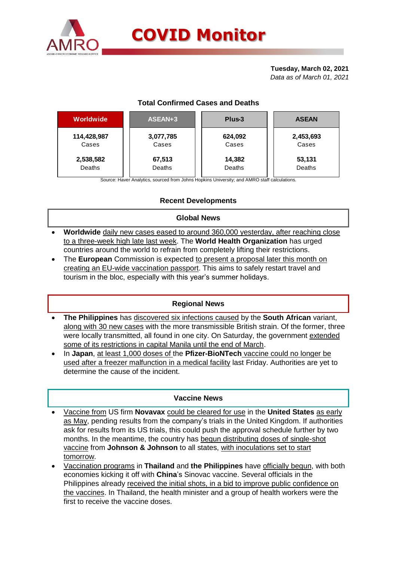

**Tuesday, March 02, 2021** *Data as of March 01, 2021*

# **Total Confirmed Cases and Deaths**

| Worldwide   | ASEAN+3   | Plus-3  | <b>ASEAN</b> |  |  |
|-------------|-----------|---------|--------------|--|--|
| 114,428,987 | 3,077,785 | 624,092 | 2,453,693    |  |  |
| Cases       | Cases     | Cases   | Cases        |  |  |
| 2,538,582   | 67,513    | 14,382  | 53,131       |  |  |
| Deaths      | Deaths    | Deaths  | Deaths       |  |  |

Source: Haver Analytics, sourced from Johns Hopkins University; and AMRO staff calculations.

## **Recent Developments**

#### **Global News**

- **Worldwide** daily new cases eased to around 360,000 yesterday, after reaching close to a three-week high late last week. The **World Health Organization** has urged countries around the world to refrain from completely lifting their restrictions.
- The **European** Commission is expected to present a proposal later this month on creating an EU-wide vaccination passport. This aims to safely restart travel and tourism in the bloc, especially with this year's summer holidays.

#### **Regional News**

- **The Philippines** has discovered six infections caused by the **South African** variant, along with 30 new cases with the more transmissible British strain. Of the former, three were locally transmitted, all found in one city. On Saturday, the government extended some of its restrictions in capital Manila until the end of March.
- In **Japan**, at least 1,000 doses of the **Pfizer-BioNTech** vaccine could no longer be used after a freezer malfunction in a medical facility last Friday. Authorities are yet to determine the cause of the incident.

#### **Vaccine News**

- Vaccine from US firm **Novavax** could be cleared for use in the **United States** as early as May, pending results from the company's trials in the United Kingdom. If authorities ask for results from its US trials, this could push the approval schedule further by two months. In the meantime, the country has begun distributing doses of single-shot vaccine from **Johnson & Johnson** to all states, with inoculations set to start tomorrow.
- Vaccination programs in **Thailand** and **the Philippines** have officially begun, with both economies kicking it off with **China**'s Sinovac vaccine. Several officials in the Philippines already received the initial shots, in a bid to improve public confidence on the vaccines. In Thailand, the health minister and a group of health workers were the first to receive the vaccine doses.